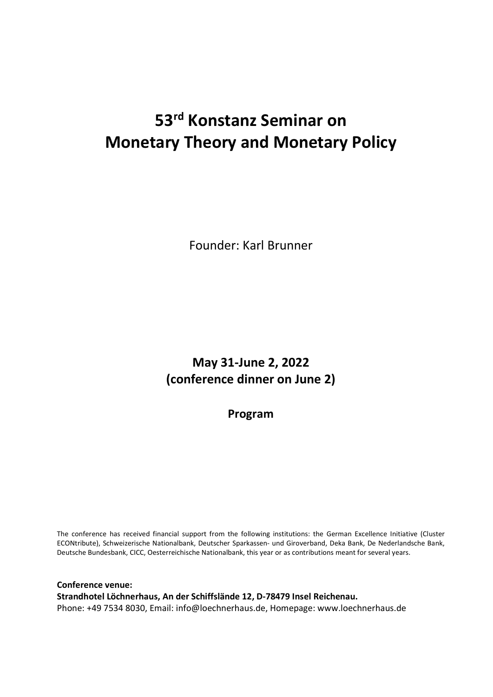## 53rd Konstanz Seminar on Monetary Theory and Monetary Policy

Founder: Karl Brunner

May 31-June 2, 2022 (conference dinner on June 2)

Program

The conference has received financial support from the following institutions: the German Excellence Initiative (Cluster ECONtribute), Schweizerische Nationalbank, Deutscher Sparkassen- und Giroverband, Deka Bank, De Nederlandsche Bank, Deutsche Bundesbank, CICC, Oesterreichische Nationalbank, this year or as contributions meant for several years.

Conference venue: Strandhotel Löchnerhaus, An der Schiffslände 12, D-78479 Insel Reichenau. Phone: +49 7534 8030, Email: info@loechnerhaus.de, Homepage: www.loechnerhaus.de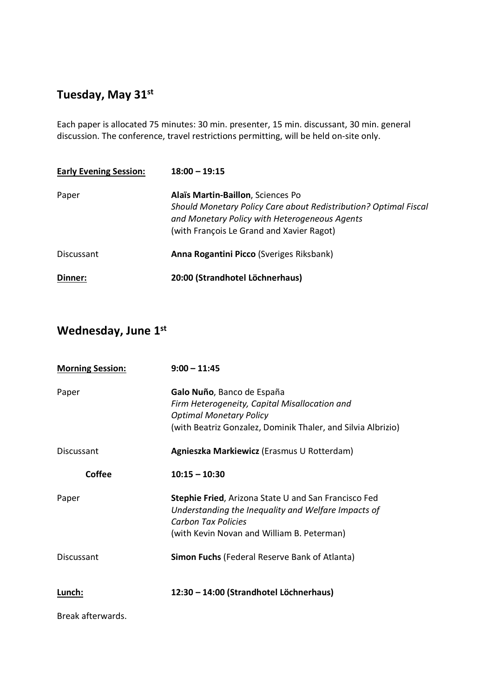## Tuesday, May 31<sup>st</sup>

Each paper is allocated 75 minutes: 30 min. presenter, 15 min. discussant, 30 min. general discussion. The conference, travel restrictions permitting, will be held on-site only.

| <b>Early Evening Session:</b> | $18:00 - 19:15$                                                                                                                                                                                     |
|-------------------------------|-----------------------------------------------------------------------------------------------------------------------------------------------------------------------------------------------------|
| Paper                         | Alaïs Martin-Baillon, Sciences Po<br>Should Monetary Policy Care about Redistribution? Optimal Fiscal<br>and Monetary Policy with Heterogeneous Agents<br>(with François Le Grand and Xavier Ragot) |
| <b>Discussant</b>             | Anna Rogantini Picco (Sveriges Riksbank)                                                                                                                                                            |
| Dinner:                       | 20:00 (Strandhotel Löchnerhaus)                                                                                                                                                                     |

## Wednesday, June 1st

| <b>Morning Session:</b> | $9:00 - 11:45$                                                                                                                                                                                 |
|-------------------------|------------------------------------------------------------------------------------------------------------------------------------------------------------------------------------------------|
| Paper                   | Galo Nuño, Banco de España<br>Firm Heterogeneity, Capital Misallocation and<br><b>Optimal Monetary Policy</b><br>(with Beatriz Gonzalez, Dominik Thaler, and Silvia Albrizio)                  |
| <b>Discussant</b>       | Agnieszka Markiewicz (Erasmus U Rotterdam)                                                                                                                                                     |
| <b>Coffee</b>           | $10:15 - 10:30$                                                                                                                                                                                |
| Paper                   | <b>Stephie Fried, Arizona State U and San Francisco Fed</b><br>Understanding the Inequality and Welfare Impacts of<br><b>Carbon Tax Policies</b><br>(with Kevin Novan and William B. Peterman) |
| Discussant              | <b>Simon Fuchs</b> (Federal Reserve Bank of Atlanta)                                                                                                                                           |
| Lunch:                  | 12:30 - 14:00 (Strandhotel Löchnerhaus)                                                                                                                                                        |
| Break afterwards.       |                                                                                                                                                                                                |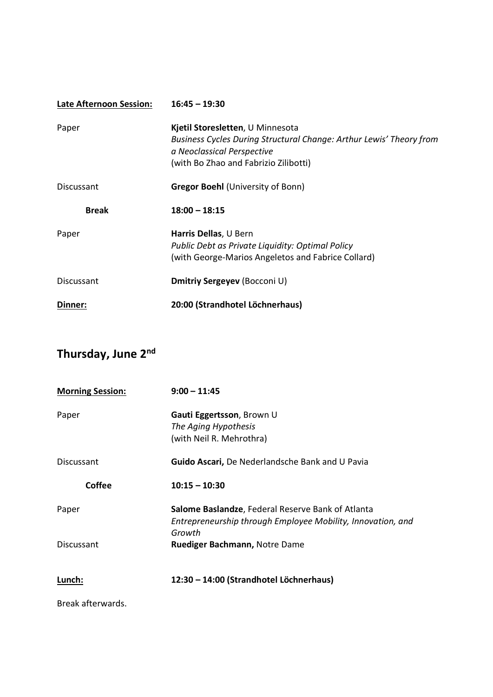| <b>Late Afternoon Session:</b> | $16:45 - 19:30$                                                                                                                                                                |
|--------------------------------|--------------------------------------------------------------------------------------------------------------------------------------------------------------------------------|
| Paper                          | Kjetil Storesletten, U Minnesota<br>Business Cycles During Structural Change: Arthur Lewis' Theory from<br>a Neoclassical Perspective<br>(with Bo Zhao and Fabrizio Zilibotti) |
| <b>Discussant</b>              | <b>Gregor Boehl (University of Bonn)</b>                                                                                                                                       |
| <b>Break</b>                   | $18:00 - 18:15$                                                                                                                                                                |
| Paper                          | Harris Dellas, U Bern<br>Public Debt as Private Liquidity: Optimal Policy<br>(with George-Marios Angeletos and Fabrice Collard)                                                |
| Discussant                     | Dmitriy Sergeyev (Bocconi U)                                                                                                                                                   |
| Dinner:                        | 20:00 (Strandhotel Löchnerhaus)                                                                                                                                                |

## Thursday, June 2nd

| <b>Morning Session:</b> | $9:00 - 11:45$                                                                                                             |
|-------------------------|----------------------------------------------------------------------------------------------------------------------------|
| Paper                   | Gauti Eggertsson, Brown U<br>The Aging Hypothesis<br>(with Neil R. Mehrothra)                                              |
| <b>Discussant</b>       | Guido Ascari, De Nederlandsche Bank and U Pavia                                                                            |
| Coffee                  | $10:15 - 10:30$                                                                                                            |
| Paper                   | Salome Baslandze, Federal Reserve Bank of Atlanta<br>Entrepreneurship through Employee Mobility, Innovation, and<br>Growth |
| <b>Discussant</b>       | Ruediger Bachmann, Notre Dame                                                                                              |
| Lunch:                  | 12:30 - 14:00 (Strandhotel Löchnerhaus)                                                                                    |
| Break afterwards.       |                                                                                                                            |